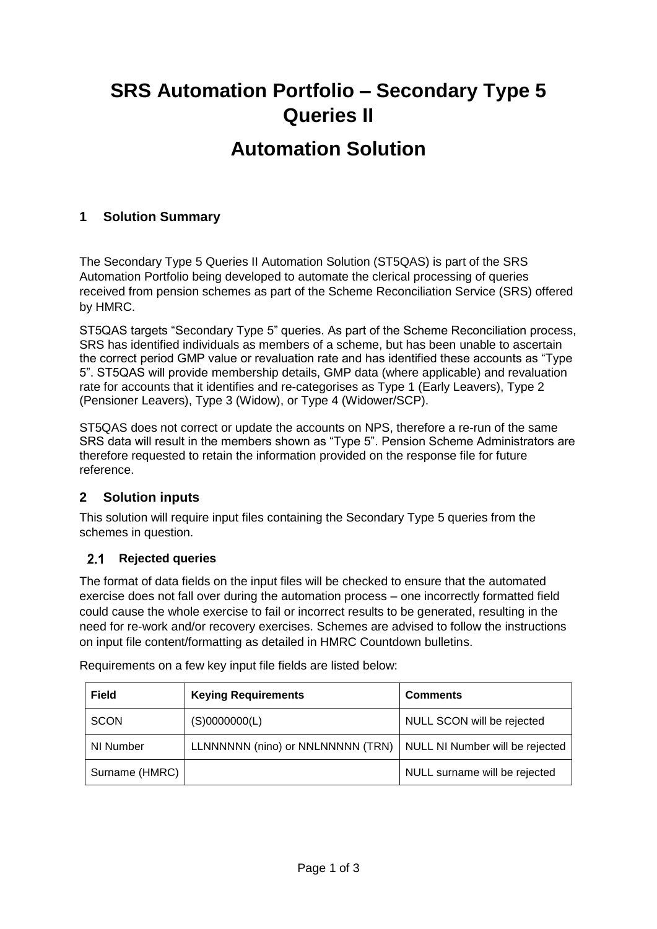# **SRS Automation Portfolio – Secondary Type 5 Queries II Automation Solution**

## **1 Solution Summary**

The Secondary Type 5 Queries II Automation Solution (ST5QAS) is part of the SRS Automation Portfolio being developed to automate the clerical processing of queries received from pension schemes as part of the Scheme Reconciliation Service (SRS) offered by HMRC.

ST5QAS targets "Secondary Type 5" queries. As part of the Scheme Reconciliation process, SRS has identified individuals as members of a scheme, but has been unable to ascertain the correct period GMP value or revaluation rate and has identified these accounts as "Type 5". ST5QAS will provide membership details, GMP data (where applicable) and revaluation rate for accounts that it identifies and re-categorises as Type 1 (Early Leavers), Type 2 (Pensioner Leavers), Type 3 (Widow), or Type 4 (Widower/SCP).

ST5QAS does not correct or update the accounts on NPS, therefore a re-run of the same SRS data will result in the members shown as "Type 5". Pension Scheme Administrators are therefore requested to retain the information provided on the response file for future reference.

## **2 Solution inputs**

This solution will require input files containing the Secondary Type 5 queries from the schemes in question.

## 2.1 Rejected queries

The format of data fields on the input files will be checked to ensure that the automated exercise does not fall over during the automation process – one incorrectly formatted field could cause the whole exercise to fail or incorrect results to be generated, resulting in the need for re-work and/or recovery exercises. Schemes are advised to follow the instructions on input file content/formatting as detailed in HMRC Countdown bulletins.

| <b>Field</b>   | <b>Keying Requirements</b>                                          | <b>Comments</b>               |
|----------------|---------------------------------------------------------------------|-------------------------------|
| <b>SCON</b>    | (S)0000000(L)                                                       | NULL SCON will be rejected    |
| NI Number      | LLNNNNNN (nino) or NNLNNNNN (TRN)   NULL NI Number will be rejected |                               |
| Surname (HMRC) |                                                                     | NULL surname will be rejected |

Requirements on a few key input file fields are listed below: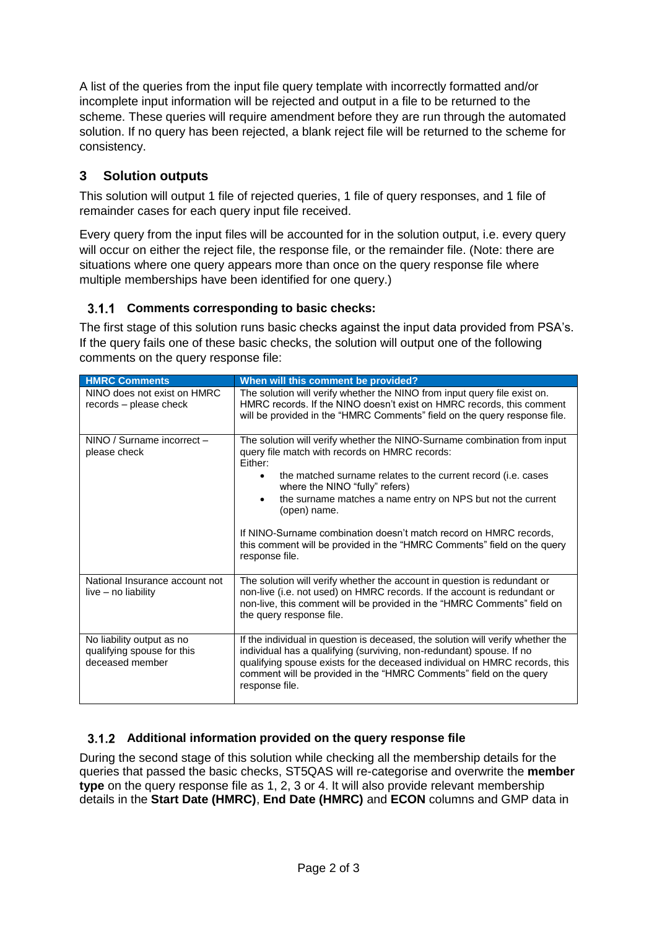A list of the queries from the input file query template with incorrectly formatted and/or incomplete input information will be rejected and output in a file to be returned to the scheme. These queries will require amendment before they are run through the automated solution. If no query has been rejected, a blank reject file will be returned to the scheme for consistency.

## **3 Solution outputs**

This solution will output 1 file of rejected queries, 1 file of query responses, and 1 file of remainder cases for each query input file received.

Every query from the input files will be accounted for in the solution output, i.e. every query will occur on either the reject file, the response file, or the remainder file. (Note: there are situations where one query appears more than once on the query response file where multiple memberships have been identified for one query.)

# **Comments corresponding to basic checks:**

The first stage of this solution runs basic checks against the input data provided from PSA's. If the query fails one of these basic checks, the solution will output one of the following comments on the query response file:

| <b>HMRC Comments</b>                                                       | When will this comment be provided?                                                                                                                                                                                                                                                                                           |
|----------------------------------------------------------------------------|-------------------------------------------------------------------------------------------------------------------------------------------------------------------------------------------------------------------------------------------------------------------------------------------------------------------------------|
| NINO does not exist on HMRC<br>records – please check                      | The solution will verify whether the NINO from input query file exist on.<br>HMRC records. If the NINO doesn't exist on HMRC records, this comment<br>will be provided in the "HMRC Comments" field on the query response file.                                                                                               |
| NINO / Surname incorrect -<br>please check                                 | The solution will verify whether the NINO-Surname combination from input<br>query file match with records on HMRC records:<br>Either:                                                                                                                                                                                         |
|                                                                            | the matched surname relates to the current record (i.e. cases<br>$\bullet$<br>where the NINO "fully" refers)                                                                                                                                                                                                                  |
|                                                                            | the surname matches a name entry on NPS but not the current<br>$\bullet$<br>(open) name.                                                                                                                                                                                                                                      |
|                                                                            | If NINO-Surname combination doesn't match record on HMRC records,<br>this comment will be provided in the "HMRC Comments" field on the query<br>response file.                                                                                                                                                                |
| National Insurance account not<br>live - no liability                      | The solution will verify whether the account in question is redundant or<br>non-live (i.e. not used) on HMRC records. If the account is redundant or<br>non-live, this comment will be provided in the "HMRC Comments" field on<br>the query response file.                                                                   |
| No liability output as no<br>qualifying spouse for this<br>deceased member | If the individual in question is deceased, the solution will verify whether the<br>individual has a qualifying (surviving, non-redundant) spouse. If no<br>qualifying spouse exists for the deceased individual on HMRC records, this<br>comment will be provided in the "HMRC Comments" field on the query<br>response file. |

## **Additional information provided on the query response file**

During the second stage of this solution while checking all the membership details for the queries that passed the basic checks, ST5QAS will re-categorise and overwrite the **member type** on the query response file as 1, 2, 3 or 4. It will also provide relevant membership details in the **Start Date (HMRC)**, **End Date (HMRC)** and **ECON** columns and GMP data in